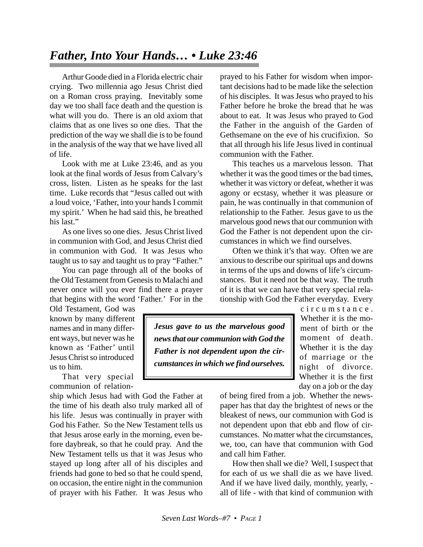## *Father, Into Your Hands… • Luke 23:46*

Arthur Goode died in a Florida electric chair crying. Two millennia ago Jesus Christ died on a Roman cross praying. Inevitably some day we too shall face death and the question is what will you do. There is an old axiom that claims that as one lives so one dies. That the prediction of the way we shall die is to be found in the analysis of the way that we have lived all of life.

Look with me at Luke 23:46, and as you look at the final words of Jesus from Calvary's cross, listen. Listen as he speaks for the last time. Luke records that "Jesus called out with a loud voice, 'Father, into your hands I commit my spirit.' When he had said this, he breathed his last."

As one lives so one dies. Jesus Christ lived in communion with God, and Jesus Christ died in communion with God. It was Jesus who taught us to say and taught us to pray "Father."

You can page through all of the books of the Old Testament from Genesis to Malachi and never once will you ever find there a prayer that begins with the word 'Father.' For in the

Old Testament, God was known by many different names and in many different ways, but never was he known as 'Father' until Jesus Christ so introduced us to him.

That very special communion of relation-

ship which Jesus had with God the Father at the time of his death also truly marked all of his life. Jesus was continually in prayer with God his Father. So the New Testament tells us that Jesus arose early in the morning, even before daybreak, so that he could pray. And the New Testament tells us that it was Jesus who stayed up long after all of his disciples and friends had gone to bed so that he could spend, on occasion, the entire night in the communion of prayer with his Father. It was Jesus who

prayed to his Father for wisdom when important decisions had to be made like the selection of his disciples. It was Jesus who prayed to his Father before he broke the bread that he was about to eat. It was Jesus who prayed to God the Father in the anguish of the Garden of Gethsemane on the eve of his crucifixion. So that all through his life Jesus lived in continual communion with the Father.

This teaches us a marvelous lesson. That whether it was the good times or the bad times, whether it was victory or defeat, whether it was agony or ecstasy, whether it was pleasure or pain, he was continually in that communion of relationship to the Father. Jesus gave to us the marvelous good news that our communion with God the Father is not dependent upon the circumstances in which we find ourselves.

Often we think it's that way. Often we are anxious to describe our spiritual ups and downs in terms of the ups and downs of life's circumstances. But it need not be that way. The truth of it is that we can have that very special relationship with God the Father everyday. Every

*Jesus gave to us the marvelous good news that our communion with God the Father is not dependent upon the circumstances in which we find ourselves.*

circumstance. Whether it is the moment of birth or the moment of death. Whether it is the day of marriage or the night of divorce. Whether it is the first day on a job or the day

of being fired from a job. Whether the newspaper has that day the brightest of news or the bleakest of news, our communion with God is not dependent upon that ebb and flow of circumstances. No matter what the circumstances, we, too, can have that communion with God and call him Father.

How then shall we die? Well, I suspect that for each of us we shall die as we have lived. And if we have lived daily, monthly, yearly, all of life - with that kind of communion with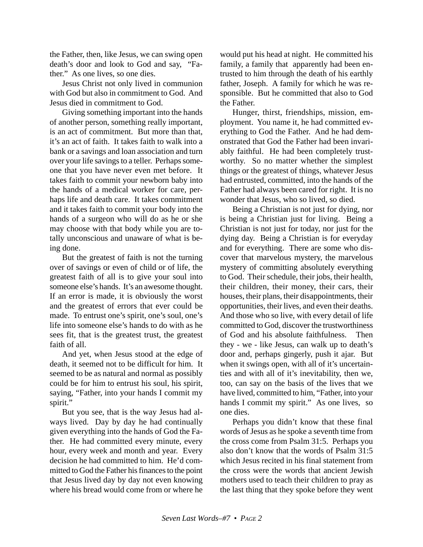the Father, then, like Jesus, we can swing open death's door and look to God and say, "Father." As one lives, so one dies.

Jesus Christ not only lived in communion with God but also in commitment to God. And Jesus died in commitment to God.

Giving something important into the hands of another person, something really important, is an act of commitment. But more than that, it's an act of faith. It takes faith to walk into a bank or a savings and loan association and turn over your life savings to a teller. Perhaps someone that you have never even met before. It takes faith to commit your newborn baby into the hands of a medical worker for care, perhaps life and death care. It takes commitment and it takes faith to commit your body into the hands of a surgeon who will do as he or she may choose with that body while you are totally unconscious and unaware of what is being done.

But the greatest of faith is not the turning over of savings or even of child or of life, the greatest faith of all is to give your soul into someone else's hands. It's an awesome thought. If an error is made, it is obviously the worst and the greatest of errors that ever could be made. To entrust one's spirit, one's soul, one's life into someone else's hands to do with as he sees fit, that is the greatest trust, the greatest faith of all.

And yet, when Jesus stood at the edge of death, it seemed not to be difficult for him. It seemed to be as natural and normal as possibly could be for him to entrust his soul, his spirit, saying, "Father, into your hands I commit my spirit."

But you see, that is the way Jesus had always lived. Day by day he had continually given everything into the hands of God the Father. He had committed every minute, every hour, every week and month and year. Every decision he had committed to him. He'd committed to God the Father his finances to the point that Jesus lived day by day not even knowing where his bread would come from or where he would put his head at night. He committed his family, a family that apparently had been entrusted to him through the death of his earthly father, Joseph. A family for which he was responsible. But he committed that also to God the Father.

Hunger, thirst, friendships, mission, employment. You name it, he had committed everything to God the Father. And he had demonstrated that God the Father had been invariably faithful. He had been completely trustworthy. So no matter whether the simplest things or the greatest of things, whatever Jesus had entrusted, committed, into the hands of the Father had always been cared for right. It is no wonder that Jesus, who so lived, so died.

Being a Christian is not just for dying, nor is being a Christian just for living. Being a Christian is not just for today, nor just for the dying day. Being a Christian is for everyday and for everything. There are some who discover that marvelous mystery, the marvelous mystery of committing absolutely everything to God. Their schedule, their jobs, their health, their children, their money, their cars, their houses, their plans, their disappointments, their opportunities, their lives, and even their deaths. And those who so live, with every detail of life committed to God, discover the trustworthiness of God and his absolute faithfulness. Then they - we - like Jesus, can walk up to death's door and, perhaps gingerly, push it ajar. But when it swings open, with all of it's uncertainties and with all of it's inevitability, then we, too, can say on the basis of the lives that we have lived, committed to him, "Father, into your hands I commit my spirit." As one lives, so one dies.

Perhaps you didn't know that these final words of Jesus as he spoke a seventh time from the cross come from Psalm 31:5. Perhaps you also don't know that the words of Psalm 31:5 which Jesus recited in his final statement from the cross were the words that ancient Jewish mothers used to teach their children to pray as the last thing that they spoke before they went